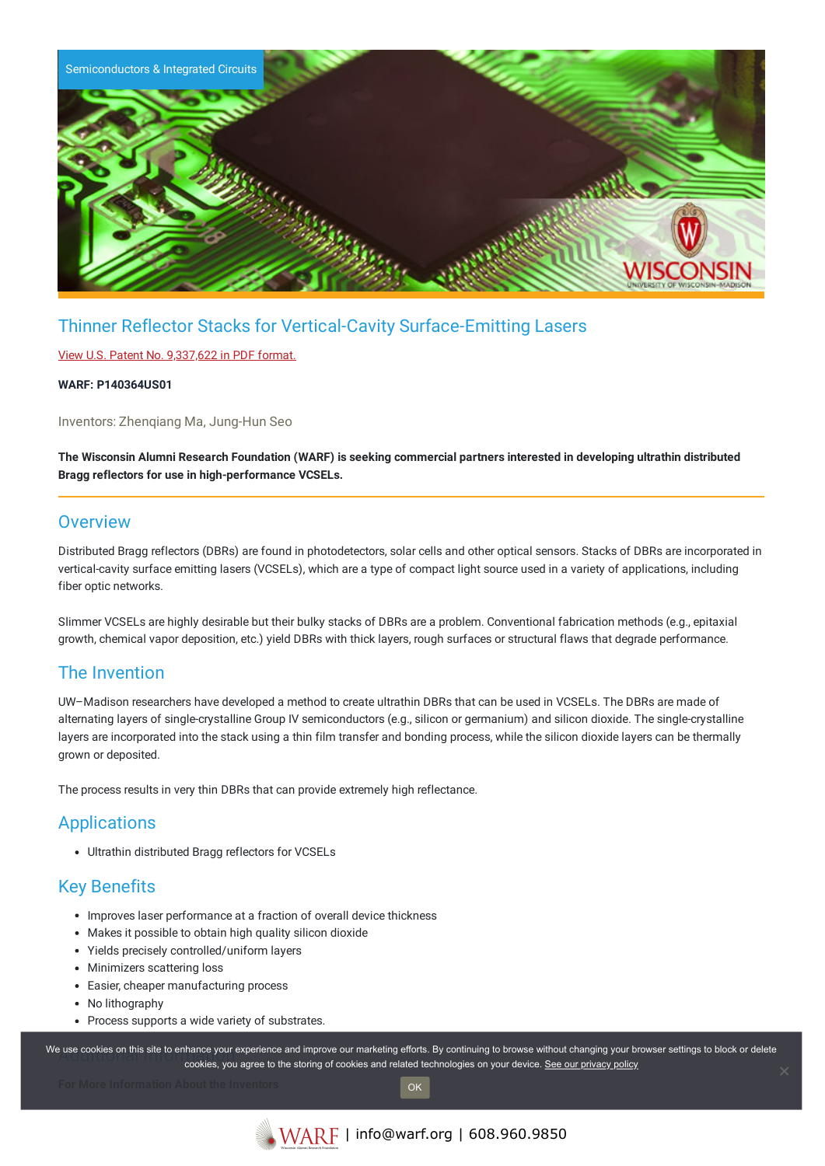

# Thinner Reflector Stacks for Vertical-Cavity Surface-Emitting Lasers

#### View U.S. Patent No. [9,337,622](https://www.warf.org/wp-content/uploads/technologies/ipstatus/P140364US01.PDF) in PDF format.

#### **WARF: P140364US01**

Inventors: Zhenqiang Ma, Jung-Hun Seo

The Wisconsin Alumni Research Foundation (WARF) is seeking commercial partners interested in developing ultrathin distributed **Bragg reflectors for use in high-performance VCSELs.**

### **Overview**

Distributed Bragg reflectors (DBRs) are found in photodetectors, solar cells and other optical sensors. Stacks of DBRs are incorporated in vertical-cavity surface emitting lasers (VCSELs), which are a type of compact light source used in a variety of applications, including fiber optic networks.

Slimmer VCSELs are highly desirable but their bulky stacks of DBRs are a problem. Conventional fabrication methods (e.g., epitaxial growth, chemical vapor deposition, etc.) yield DBRs with thick layers, rough surfaces or structural flaws that degrade performance.

### The Invention

UW–Madison researchers have developed a method to create ultrathin DBRs that can be used in VCSELs. The DBRs are made of alternating layers of single-crystalline Group IV semiconductors (e.g., silicon or germanium) and silicon dioxide. The single-crystalline layers are incorporated into the stack using a thin film transfer and bonding process, while the silicon dioxide layers can be thermally grown or deposited.

The process results in very thin DBRs that can provide extremely high reflectance.

# **Applications**

Ultrathin distributed Bragg reflectors for VCSELs

# Key Benefits

- Improves laser performance at a fraction of overall device thickness
- Makes it possible to obtain high quality silicon dioxide
- Yields precisely controlled/uniform layers
- Minimizers scattering loss
- Easier, cheaper manufacturing process
- No lithography
- Process supports a wide variety of substrates.

We use cookies on this site to enhance your experience and improve our marketing efforts. By continuing to browse without changing your browser settings to block or delete continuing to browser settings to block or delete cookies, you agree to the storing of cookies and related technologies on your device. [See our privacy policy](https://www.warf.org/privacy-policy/)